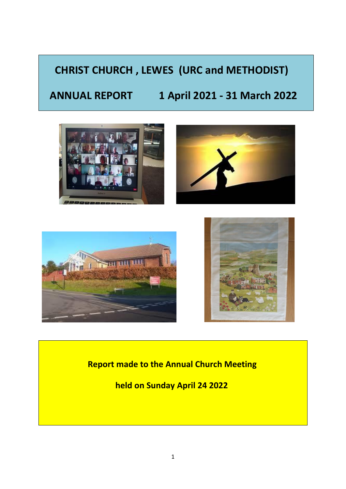# **CHRIST CHURCH , LEWES (URC and METHODIST)**

# **ANNUAL REPORT 1 April 2021 - 31 March 2022**









# **Report made to the Annual Church Meeting**

 **held on Sunday April 24 2022**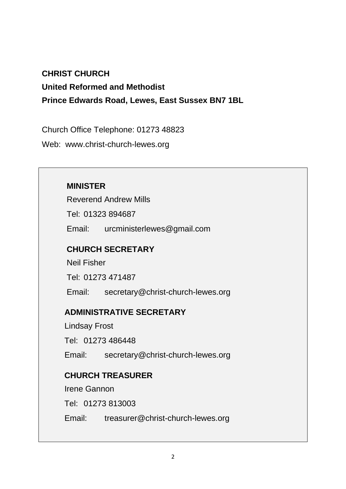#### **CHRIST CHURCH**

**United Reformed and Methodist**

**Prince Edwards Road, Lewes, East Sussex BN7 1BL**

Church Office Telephone: 01273 48823

Web: www.christ-church-lewes.org

#### **MINISTER**

Reverend Andrew Mills

Tel: 01323 894687

Email: urcministerlewes@gmail.com

#### **CHURCH SECRETARY**

Neil Fisher

Tel: 01273 471487

Email: secretary@christ-church-lewes.org

#### **ADMINISTRATIVE SECRETARY**

Lindsay Frost

Tel: 01273 486448

Email: secretary@christ-church-lewes.org

### **CHURCH TREASURER**

Irene Gannon

Tel: 01273 813003

Email: treasurer@christ-church-lewes.org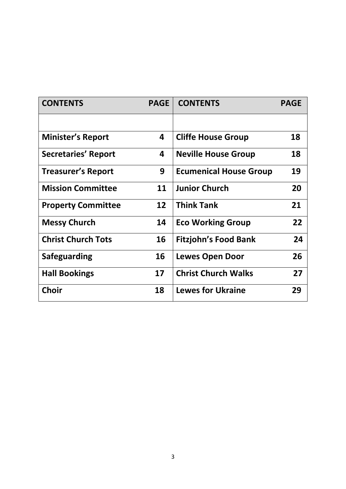| <b>CONTENTS</b>            | <b>PAGE</b> | <b>CONTENTS</b>               | <b>PAGE</b> |
|----------------------------|-------------|-------------------------------|-------------|
|                            |             |                               |             |
| <b>Minister's Report</b>   | 4           | <b>Cliffe House Group</b>     | 18          |
| <b>Secretaries' Report</b> | 4           | <b>Neville House Group</b>    | 18          |
| <b>Treasurer's Report</b>  | 9           | <b>Ecumenical House Group</b> | 19          |
| <b>Mission Committee</b>   | 11          | <b>Junior Church</b>          | 20          |
| <b>Property Committee</b>  | 12          | <b>Think Tank</b>             | 21          |
| <b>Messy Church</b>        | 14          | <b>Eco Working Group</b>      | 22          |
| <b>Christ Church Tots</b>  | 16          | <b>Fitzjohn's Food Bank</b>   | 24          |
| <b>Safeguarding</b>        | 16          | <b>Lewes Open Door</b>        | 26          |
| <b>Hall Bookings</b>       | 17          | <b>Christ Church Walks</b>    | 27          |
| <b>Choir</b>               | 18          | <b>Lewes for Ukraine</b>      | 29          |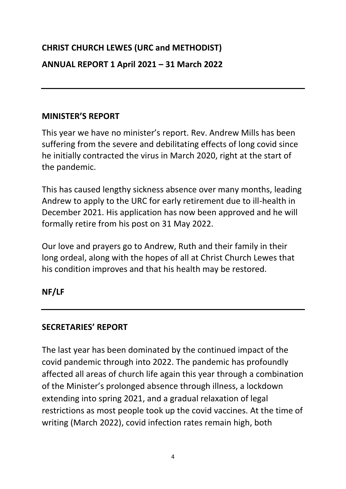# **CHRIST CHURCH LEWES (URC and METHODIST)**

### **ANNUAL REPORT 1 April 2021 – 31 March 2022**

#### **MINISTER'S REPORT**

This year we have no minister's report. Rev. Andrew Mills has been suffering from the severe and debilitating effects of long covid since he initially contracted the virus in March 2020, right at the start of the pandemic.

This has caused lengthy sickness absence over many months, leading Andrew to apply to the URC for early retirement due to ill-health in December 2021. His application has now been approved and he will formally retire from his post on 31 May 2022.

Our love and prayers go to Andrew, Ruth and their family in their long ordeal, along with the hopes of all at Christ Church Lewes that his condition improves and that his health may be restored.

#### **NF/LF**

### **SECRETARIES' REPORT**

The last year has been dominated by the continued impact of the covid pandemic through into 2022. The pandemic has profoundly affected all areas of church life again this year through a combination of the Minister's prolonged absence through illness, a lockdown extending into spring 2021, and a gradual relaxation of legal restrictions as most people took up the covid vaccines. At the time of writing (March 2022), covid infection rates remain high, both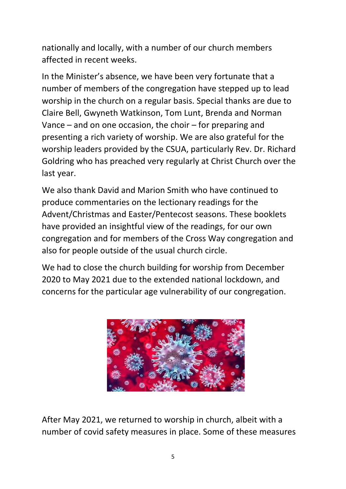nationally and locally, with a number of our church members affected in recent weeks.

In the Minister's absence, we have been very fortunate that a number of members of the congregation have stepped up to lead worship in the church on a regular basis. Special thanks are due to Claire Bell, Gwyneth Watkinson, Tom Lunt, Brenda and Norman Vance – and on one occasion, the choir – for preparing and presenting a rich variety of worship. We are also grateful for the worship leaders provided by the CSUA, particularly Rev. Dr. Richard Goldring who has preached very regularly at Christ Church over the last year.

We also thank David and Marion Smith who have continued to produce commentaries on the lectionary readings for the Advent/Christmas and Easter/Pentecost seasons. These booklets have provided an insightful view of the readings, for our own congregation and for members of the Cross Way congregation and also for people outside of the usual church circle.

We had to close the church building for worship from December 2020 to May 2021 due to the extended national lockdown, and concerns for the particular age vulnerability of our congregation.



After May 2021, we returned to worship in church, albeit with a number of covid safety measures in place. Some of these measures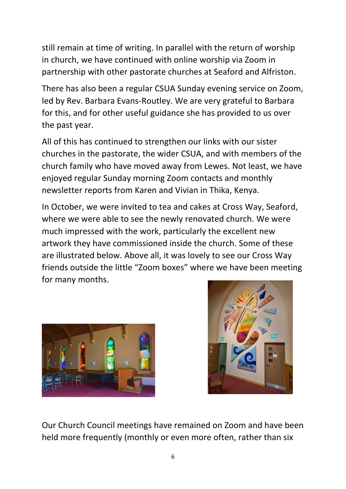still remain at time of writing. In parallel with the return of worship in church, we have continued with online worship via Zoom in partnership with other pastorate churches at Seaford and Alfriston.

There has also been a regular CSUA Sunday evening service on Zoom, led by Rev. Barbara Evans-Routley. We are very grateful to Barbara for this, and for other useful guidance she has provided to us over the past year.

All of this has continued to strengthen our links with our sister churches in the pastorate, the wider CSUA, and with members of the church family who have moved away from Lewes. Not least, we have enjoyed regular Sunday morning Zoom contacts and monthly newsletter reports from Karen and Vivian in Thika, Kenya.

In October, we were invited to tea and cakes at Cross Way, Seaford, where we were able to see the newly renovated church. We were much impressed with the work, particularly the excellent new artwork they have commissioned inside the church. Some of these are illustrated below. Above all, it was lovely to see our Cross Way friends outside the little "Zoom boxes" where we have been meeting for many months.





Our Church Council meetings have remained on Zoom and have been held more frequently (monthly or even more often, rather than six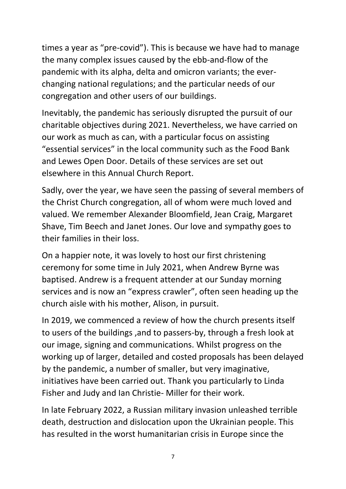times a year as "pre-covid"). This is because we have had to manage the many complex issues caused by the ebb-and-flow of the pandemic with its alpha, delta and omicron variants; the everchanging national regulations; and the particular needs of our congregation and other users of our buildings.

Inevitably, the pandemic has seriously disrupted the pursuit of our charitable objectives during 2021. Nevertheless, we have carried on our work as much as can, with a particular focus on assisting "essential services" in the local community such as the Food Bank and Lewes Open Door. Details of these services are set out elsewhere in this Annual Church Report.

Sadly, over the year, we have seen the passing of several members of the Christ Church congregation, all of whom were much loved and valued. We remember Alexander Bloomfield, Jean Craig, Margaret Shave, Tim Beech and Janet Jones. Our love and sympathy goes to their families in their loss.

On a happier note, it was lovely to host our first christening ceremony for some time in July 2021, when Andrew Byrne was baptised. Andrew is a frequent attender at our Sunday morning services and is now an "express crawler", often seen heading up the church aisle with his mother, Alison, in pursuit.

In 2019, we commenced a review of how the church presents itself to users of the buildings ,and to passers-by, through a fresh look at our image, signing and communications. Whilst progress on the working up of larger, detailed and costed proposals has been delayed by the pandemic, a number of smaller, but very imaginative, initiatives have been carried out. Thank you particularly to Linda Fisher and Judy and Ian Christie- Miller for their work.

In late February 2022, a Russian military invasion unleashed terrible death, destruction and dislocation upon the Ukrainian people. This has resulted in the worst humanitarian crisis in Europe since the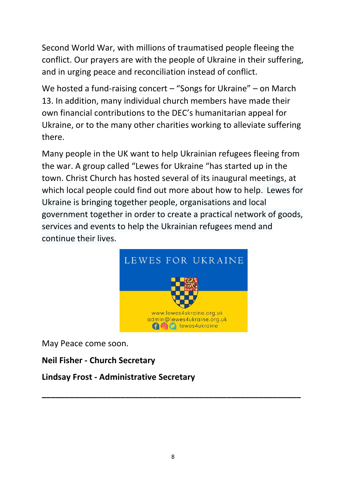Second World War, with millions of traumatised people fleeing the conflict. Our prayers are with the people of Ukraine in their suffering, and in urging peace and reconciliation instead of conflict.

We hosted a fund-raising concert – "Songs for Ukraine" – on March 13. In addition, many individual church members have made their own financial contributions to the DEC's humanitarian appeal for Ukraine, or to the many other charities working to alleviate suffering there.

Many people in the UK want to help Ukrainian refugees fleeing from the war. A group called "Lewes for Ukraine "has started up in the town. Christ Church has hosted several of its inaugural meetings, at which local people could find out more about how to help. Lewes for Ukraine is bringing together people, organisations and local government together in order to create a practical network of goods, services and events to help the Ukrainian refugees mend and continue their lives.



May Peace come soon.

# **Neil Fisher - Church Secretary**

### **Lindsay Frost - Administrative Secretary**

**\_\_\_\_\_\_\_\_\_\_\_\_\_\_\_\_\_\_\_\_\_\_\_\_\_\_\_\_\_\_\_\_\_\_\_\_\_\_\_\_\_\_\_\_\_\_\_\_\_\_\_\_\_\_\_\_**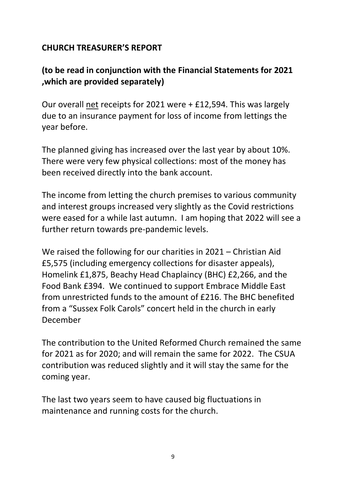# **CHURCH TREASURER'S REPORT**

# **(to be read in conjunction with the Financial Statements for 2021 ,which are provided separately)**

Our overall net receipts for 2021 were + £12,594. This was largely due to an insurance payment for loss of income from lettings the year before.

The planned giving has increased over the last year by about 10%. There were very few physical collections: most of the money has been received directly into the bank account.

The income from letting the church premises to various community and interest groups increased very slightly as the Covid restrictions were eased for a while last autumn. I am hoping that 2022 will see a further return towards pre-pandemic levels.

We raised the following for our charities in 2021 – Christian Aid £5,575 (including emergency collections for disaster appeals), Homelink £1,875, Beachy Head Chaplaincy (BHC) £2,266, and the Food Bank £394. We continued to support Embrace Middle East from unrestricted funds to the amount of £216. The BHC benefited from a "Sussex Folk Carols" concert held in the church in early December

The contribution to the United Reformed Church remained the same for 2021 as for 2020; and will remain the same for 2022. The CSUA contribution was reduced slightly and it will stay the same for the coming year.

The last two years seem to have caused big fluctuations in maintenance and running costs for the church.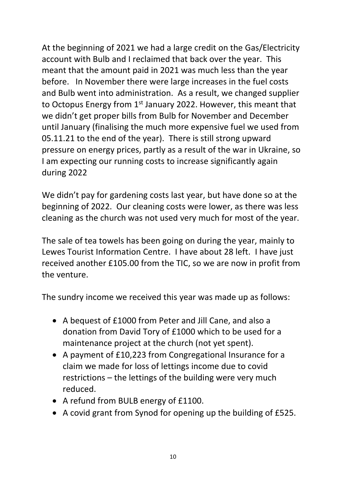At the beginning of 2021 we had a large credit on the Gas/Electricity account with Bulb and I reclaimed that back over the year. This meant that the amount paid in 2021 was much less than the year before. In November there were large increases in the fuel costs and Bulb went into administration. As a result, we changed supplier to Octopus Energy from 1st January 2022. However, this meant that we didn't get proper bills from Bulb for November and December until January (finalising the much more expensive fuel we used from 05.11.21 to the end of the year). There is still strong upward pressure on energy prices, partly as a result of the war in Ukraine, so I am expecting our running costs to increase significantly again during 2022

We didn't pay for gardening costs last year, but have done so at the beginning of 2022. Our cleaning costs were lower, as there was less cleaning as the church was not used very much for most of the year.

The sale of tea towels has been going on during the year, mainly to Lewes Tourist Information Centre. I have about 28 left. I have just received another £105.00 from the TIC, so we are now in profit from the venture.

The sundry income we received this year was made up as follows:

- A bequest of £1000 from Peter and Jill Cane, and also a donation from David Tory of £1000 which to be used for a maintenance project at the church (not yet spent).
- A payment of £10,223 from Congregational Insurance for a claim we made for loss of lettings income due to covid restrictions – the lettings of the building were very much reduced.
- A refund from BULB energy of £1100.
- A covid grant from Synod for opening up the building of £525.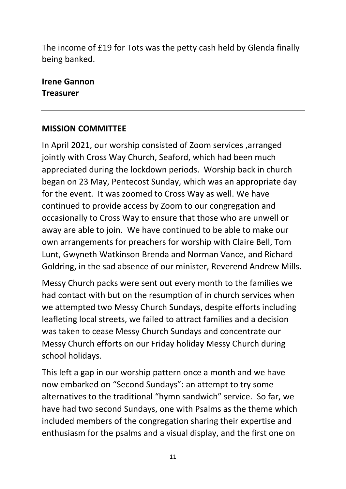The income of £19 for Tots was the petty cash held by Glenda finally being banked.

**Irene Gannon Treasurer**

### **MISSION COMMITTEE**

In April 2021, our worship consisted of Zoom services ,arranged jointly with Cross Way Church, Seaford, which had been much appreciated during the lockdown periods. Worship back in church began on 23 May, Pentecost Sunday, which was an appropriate day for the event. It was zoomed to Cross Way as well. We have continued to provide access by Zoom to our congregation and occasionally to Cross Way to ensure that those who are unwell or away are able to join. We have continued to be able to make our own arrangements for preachers for worship with Claire Bell, Tom Lunt, Gwyneth Watkinson Brenda and Norman Vance, and Richard Goldring, in the sad absence of our minister, Reverend Andrew Mills.

Messy Church packs were sent out every month to the families we had contact with but on the resumption of in church services when we attempted two Messy Church Sundays, despite efforts including leafleting local streets, we failed to attract families and a decision was taken to cease Messy Church Sundays and concentrate our Messy Church efforts on our Friday holiday Messy Church during school holidays.

This left a gap in our worship pattern once a month and we have now embarked on "Second Sundays": an attempt to try some alternatives to the traditional "hymn sandwich" service. So far, we have had two second Sundays, one with Psalms as the theme which included members of the congregation sharing their expertise and enthusiasm for the psalms and a visual display, and the first one on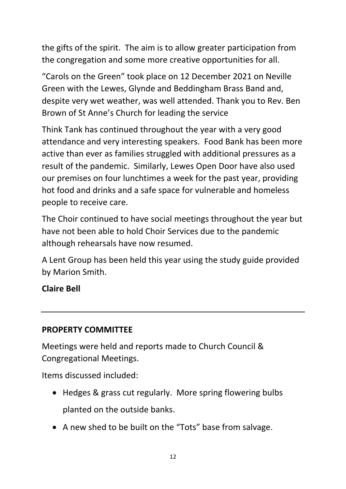the gifts of the spirit. The aim is to allow greater participation from the congregation and some more creative opportunities for all.

"Carols on the Green" took place on 12 December 2021 on Neville Green with the Lewes, Glynde and Beddingham Brass Band and, despite very wet weather, was well attended. Thank you to Rev. Ben Brown of St Anne's Church for leading the service

Think Tank has continued throughout the year with a very good attendance and very interesting speakers. Food Bank has been more active than ever as families struggled with additional pressures as a result of the pandemic. Similarly, Lewes Open Door have also used our premises on four lunchtimes a week for the past year, providing hot food and drinks and a safe space for vulnerable and homeless people to receive care.

The Choir continued to have social meetings throughout the year but have not been able to hold Choir Services due to the pandemic although rehearsals have now resumed.

A Lent Group has been held this year using the study guide provided by Marion Smith.

**Claire Bell**

### **PROPERTY COMMITTEE**

Meetings were held and reports made to Church Council & Congregational Meetings.

Items discussed included:

- Hedges & grass cut regularly. More spring flowering bulbs planted on the outside banks.
- A new shed to be built on the "Tots" base from salvage.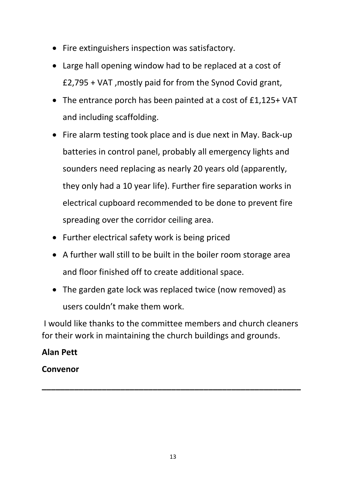- Fire extinguishers inspection was satisfactory.
- Large hall opening window had to be replaced at a cost of £2,795 + VAT ,mostly paid for from the Synod Covid grant,
- The entrance porch has been painted at a cost of £1,125+ VAT and including scaffolding.
- Fire alarm testing took place and is due next in May. Back-up batteries in control panel, probably all emergency lights and sounders need replacing as nearly 20 years old (apparently, they only had a 10 year life). Further fire separation works in electrical cupboard recommended to be done to prevent fire spreading over the corridor ceiling area.
- Further electrical safety work is being priced
- A further wall still to be built in the boiler room storage area and floor finished off to create additional space.
- The garden gate lock was replaced twice (now removed) as users couldn't make them work.

I would like thanks to the committee members and church cleaners for their work in maintaining the church buildings and grounds.

**\_\_\_\_\_\_\_\_\_\_\_\_\_\_\_\_\_\_\_\_\_\_\_\_\_\_\_\_\_\_\_\_\_\_\_\_\_\_\_\_\_\_\_\_\_\_\_\_\_\_\_\_\_\_\_\_**

### **Alan Pett**

### **Convenor**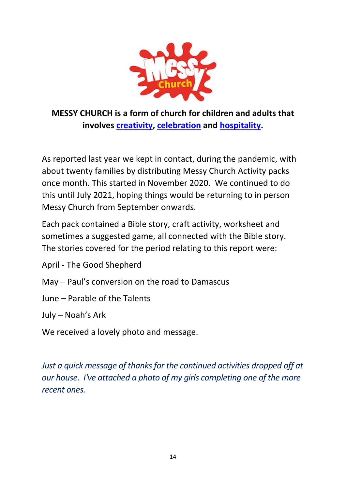

# **MESSY CHURCH is a form of church for children and adults that involves [creativity,](https://www.messychurch.org.uk/creativity) [celebration](https://www.messychurch.org.uk/celebration) and [hospitality.](https://www.messychurch.org.uk/hospitality)**

As reported last year we kept in contact, during the pandemic, with about twenty families by distributing Messy Church Activity packs once month. This started in November 2020. We continued to do this until July 2021, hoping things would be returning to in person Messy Church from September onwards.

Each pack contained a Bible story, craft activity, worksheet and sometimes a suggested game, all connected with the Bible story. The stories covered for the period relating to this report were:

April - The Good Shepherd

- May Paul's conversion on the road to Damascus
- June Parable of the Talents

July – Noah's Ark

We received a lovely photo and message.

*Just a quick message of thanks for the continued activities dropped off at our house. I've attached a photo of my girls completing one of the more recent ones.*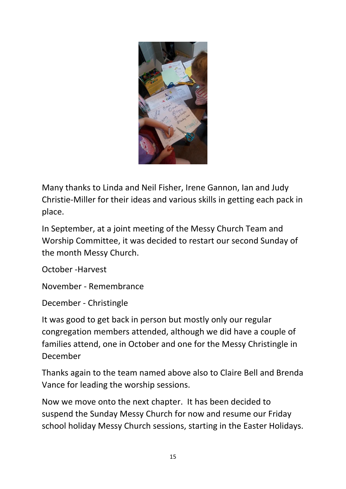

Many thanks to Linda and Neil Fisher, Irene Gannon, Ian and Judy Christie-Miller for their ideas and various skills in getting each pack in place.

In September, at a joint meeting of the Messy Church Team and Worship Committee, it was decided to restart our second Sunday of the month Messy Church.

October -Harvest

November - Remembrance

December - Christingle

It was good to get back in person but mostly only our regular congregation members attended, although we did have a couple of families attend, one in October and one for the Messy Christingle in December

Thanks again to the team named above also to Claire Bell and Brenda Vance for leading the worship sessions.

Now we move onto the next chapter. It has been decided to suspend the Sunday Messy Church for now and resume our Friday school holiday Messy Church sessions, starting in the Easter Holidays.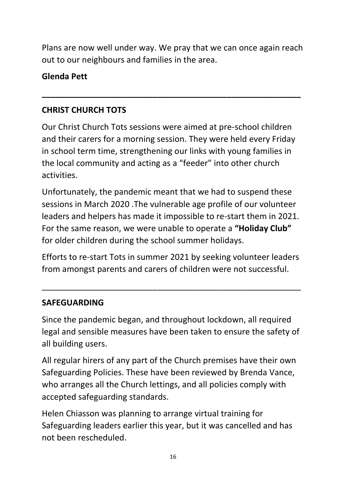Plans are now well under way. We pray that we can once again reach out to our neighbours and families in the area.

**\_\_\_\_\_\_\_\_\_\_\_\_\_\_\_\_\_\_\_\_\_\_\_\_\_\_\_\_\_\_\_\_\_\_\_\_\_\_\_\_\_\_\_\_\_\_\_\_\_\_\_\_\_\_\_\_**

# **Glenda Pett**

# **CHRIST CHURCH TOTS**

Our Christ Church Tots sessions were aimed at pre-school children and their carers for a morning session. They were held every Friday in school term time, strengthening our links with young families in the local community and acting as a "feeder" into other church activities.

Unfortunately, the pandemic meant that we had to suspend these sessions in March 2020 .The vulnerable age profile of our volunteer leaders and helpers has made it impossible to re-start them in 2021. For the same reason, we were unable to operate a **"Holiday Club"** for older children during the school summer holidays.

Efforts to re-start Tots in summer 2021 by seeking volunteer leaders from amongst parents and carers of children were not successful.

\_\_\_\_\_\_\_\_\_\_\_\_\_\_\_\_\_\_\_\_\_\_\_\_\_\_\_\_\_\_\_\_\_\_\_\_\_\_\_\_\_\_\_\_\_\_\_\_\_\_\_\_\_\_\_\_

# **SAFEGUARDING**

Since the pandemic began, and throughout lockdown, all required legal and sensible measures have been taken to ensure the safety of all building users.

All regular hirers of any part of the Church premises have their own Safeguarding Policies. These have been reviewed by Brenda Vance, who arranges all the Church lettings, and all policies comply with accepted safeguarding standards.

Helen Chiasson was planning to arrange virtual training for Safeguarding leaders earlier this year, but it was cancelled and has not been rescheduled.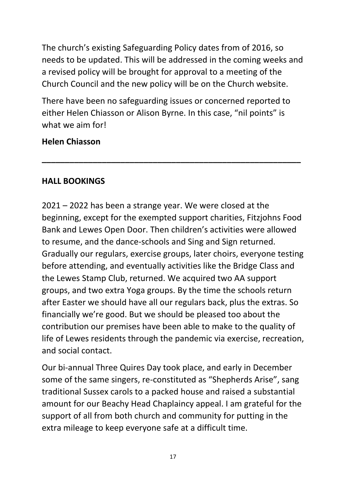The church's existing Safeguarding Policy dates from of 2016, so needs to be updated. This will be addressed in the coming weeks and a revised policy will be brought for approval to a meeting of the Church Council and the new policy will be on the Church website.

There have been no safeguarding issues or concerned reported to either Helen Chiasson or Alison Byrne. In this case, "nil points" is what we aim for!

**\_\_\_\_\_\_\_\_\_\_\_\_\_\_\_\_\_\_\_\_\_\_\_\_\_\_\_\_\_\_\_\_\_\_\_\_\_\_\_\_\_\_\_\_\_\_\_\_\_\_\_\_\_\_\_\_**

### **Helen Chiasson**

# **HALL BOOKINGS**

2021 – 2022 has been a strange year. We were closed at the beginning, except for the exempted support charities, Fitzjohns Food Bank and Lewes Open Door. Then children's activities were allowed to resume, and the dance-schools and Sing and Sign returned. Gradually our regulars, exercise groups, later choirs, everyone testing before attending, and eventually activities like the Bridge Class and the Lewes Stamp Club, returned. We acquired two AA support groups, and two extra Yoga groups. By the time the schools return after Easter we should have all our regulars back, plus the extras. So financially we're good. But we should be pleased too about the contribution our premises have been able to make to the quality of life of Lewes residents through the pandemic via exercise, recreation, and social contact.

Our bi-annual Three Quires Day took place, and early in December some of the same singers, re-constituted as "Shepherds Arise", sang traditional Sussex carols to a packed house and raised a substantial amount for our Beachy Head Chaplaincy appeal. I am grateful for the support of all from both church and community for putting in the extra mileage to keep everyone safe at a difficult time.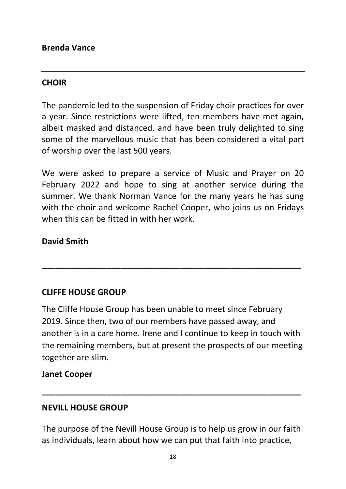### **CHOIR**

The pandemic led to the suspension of Friday choir practices for over a year. Since restrictions were lifted, ten members have met again, albeit masked and distanced, and have been truly delighted to sing some of the marvellous music that has been considered a vital part of worship over the last 500 years.

We were asked to prepare a service of Music and Prayer on 20 February 2022 and hope to sing at another service during the summer. We thank Norman Vance for the many years he has sung with the choir and welcome Rachel Cooper, who joins us on Fridays when this can be fitted in with her work.

### **David Smith**

# **CLIFFE HOUSE GROUP**

The Cliffe House Group has been unable to meet since February 2019. Since then, two of our members have passed away, and another is in a care home. Irene and I continue to keep in touch with the remaining members, but at present the prospects of our meeting together are slim.

**\_\_\_\_\_\_\_\_\_\_\_\_\_\_\_\_\_\_\_\_\_\_\_\_\_\_\_\_\_\_\_\_\_\_\_\_\_\_\_\_\_\_\_\_\_\_\_\_\_\_\_\_\_\_\_\_**

### **Janet Cooper**

# **NEVILL HOUSE GROUP**

The purpose of the Nevill House Group is to help us grow in our faith as individuals, learn about how we can put that faith into practice,

**\_\_\_\_\_\_\_\_\_\_\_\_\_\_\_\_\_\_\_\_\_\_\_\_\_\_\_\_\_\_\_\_\_\_\_\_\_\_\_\_\_\_\_\_\_\_\_\_\_\_\_\_\_\_\_\_**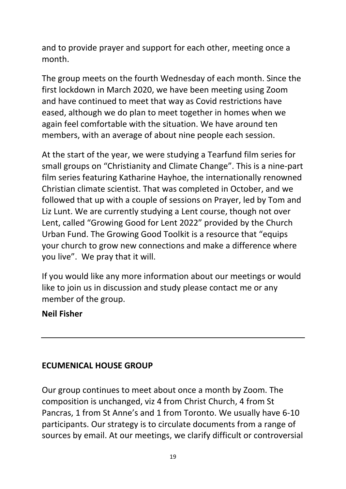and to provide prayer and support for each other, meeting once a month.

The group meets on the fourth Wednesday of each month. Since the first lockdown in March 2020, we have been meeting using Zoom and have continued to meet that way as Covid restrictions have eased, although we do plan to meet together in homes when we again feel comfortable with the situation. We have around ten members, with an average of about nine people each session.

At the start of the year, we were studying a Tearfund film series for small groups on "Christianity and Climate Change". This is a nine-part film series featuring Katharine Hayhoe, the internationally renowned Christian climate scientist. That was completed in October, and we followed that up with a couple of sessions on Prayer, led by Tom and Liz Lunt. We are currently studying a Lent course, though not over Lent, called "Growing Good for Lent 2022" provided by the Church Urban Fund. The Growing Good Toolkit is a resource that "equips your church to grow new connections and make a difference where you live". We pray that it will.

If you would like any more information about our meetings or would like to join us in discussion and study please contact me or any member of the group.

#### **Neil Fisher**

### **ECUMENICAL HOUSE GROUP**

Our group continues to meet about once a month by Zoom. The composition is unchanged, viz 4 from Christ Church, 4 from St Pancras, 1 from St Anne's and 1 from Toronto. We usually have 6-10 participants. Our strategy is to circulate documents from a range of sources by email. At our meetings, we clarify difficult or controversial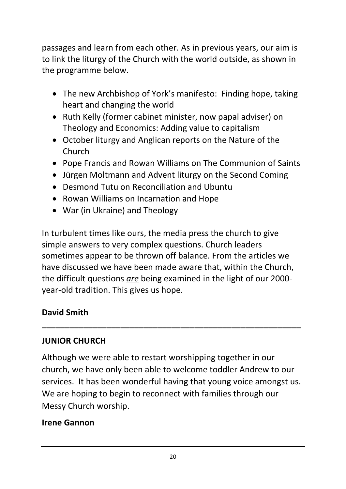passages and learn from each other. As in previous years, our aim is to link the liturgy of the Church with the world outside, as shown in the programme below.

- The new Archbishop of York's manifesto: Finding hope, taking heart and changing the world
- Ruth Kelly (former cabinet minister, now papal adviser) on Theology and Economics: Adding value to capitalism
- October liturgy and Anglican reports on the Nature of the Church
- Pope Francis and Rowan Williams on The Communion of Saints
- Jürgen Moltmann and Advent liturgy on the Second Coming
- Desmond Tutu on Reconciliation and Ubuntu
- Rowan Williams on Incarnation and Hope
- War (in Ukraine) and Theology

In turbulent times like ours, the media press the church to give simple answers to very complex questions. Church leaders sometimes appear to be thrown off balance. From the articles we have discussed we have been made aware that, within the Church, the difficult questions *are* being examined in the light of our 2000 year-old tradition. This gives us hope.

# **David Smith**

# **JUNIOR CHURCH**

Although we were able to restart worshipping together in our church, we have only been able to welcome toddler Andrew to our services. It has been wonderful having that young voice amongst us. We are hoping to begin to reconnect with families through our Messy Church worship.

**\_\_\_\_\_\_\_\_\_\_\_\_\_\_\_\_\_\_\_\_\_\_\_\_\_\_\_\_\_\_\_\_\_\_\_\_\_\_\_\_\_\_\_\_\_\_\_\_\_\_\_\_\_\_\_\_**

### **Irene Gannon**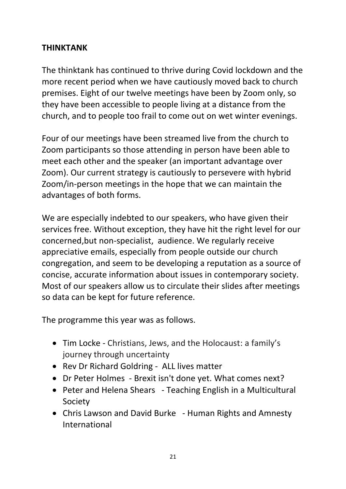#### **THINKTANK**

The thinktank has continued to thrive during Covid lockdown and the more recent period when we have cautiously moved back to church premises. Eight of our twelve meetings have been by Zoom only, so they have been accessible to people living at a distance from the church, and to people too frail to come out on wet winter evenings.

Four of our meetings have been streamed live from the church to Zoom participants so those attending in person have been able to meet each other and the speaker (an important advantage over Zoom). Our current strategy is cautiously to persevere with hybrid Zoom/in-person meetings in the hope that we can maintain the advantages of both forms.

We are especially indebted to our speakers, who have given their services free. Without exception, they have hit the right level for our concerned,but non-specialist, audience. We regularly receive appreciative emails, especially from people outside our church congregation, and seem to be developing a reputation as a source of concise, accurate information about issues in contemporary society. Most of our speakers allow us to circulate their slides after meetings so data can be kept for future reference.

The programme this year was as follows.

- Tim Locke Christians, Jews, and the Holocaust: a family's journey through uncertainty
- Rev Dr Richard Goldring ALL lives matter
- Dr Peter Holmes Brexit isn't done yet. What comes next?
- Peter and Helena Shears Teaching English in a Multicultural Society
- Chris Lawson and David Burke Human Rights and Amnesty International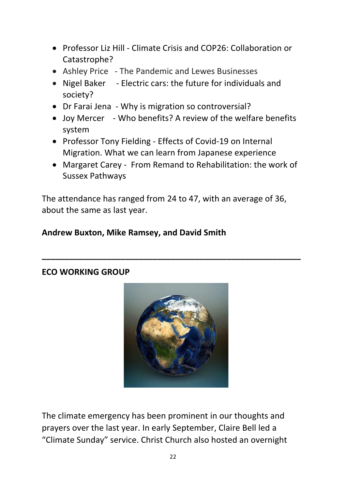- Professor Liz Hill Climate Crisis and COP26: Collaboration or Catastrophe?
- Ashley Price The Pandemic and Lewes Businesses
- Nigel Baker Electric cars: the future for individuals and society?
- Dr Farai Jena Why is migration so controversial?
- Joy Mercer Who benefits? A review of the welfare benefits system
- Professor Tony Fielding Effects of Covid-19 on Internal Migration. What we can learn from Japanese experience
- Margaret Carey From Remand to Rehabilitation: the work of Sussex Pathways

The attendance has ranged from 24 to 47, with an average of 36, about the same as last year.

**\_\_\_\_\_\_\_\_\_\_\_\_\_\_\_\_\_\_\_\_\_\_\_\_\_\_\_\_\_\_\_\_\_\_\_\_\_\_\_\_\_\_\_\_\_\_\_\_\_\_\_\_\_\_\_\_**

### **Andrew Buxton, Mike Ramsey, and David Smith**



#### **ECO WORKING GROUP**

The climate emergency has been prominent in our thoughts and prayers over the last year. In early September, Claire Bell led a "Climate Sunday" service. Christ Church also hosted an overnight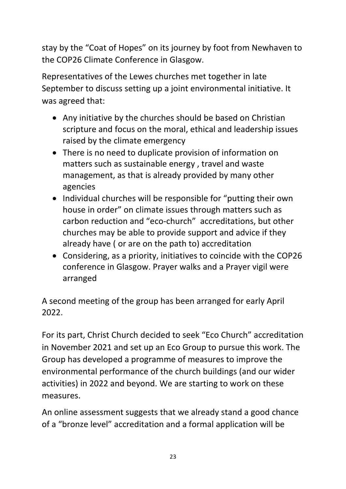stay by the "Coat of Hopes" on its journey by foot from Newhaven to the COP26 Climate Conference in Glasgow.

Representatives of the Lewes churches met together in late September to discuss setting up a joint environmental initiative. It was agreed that:

- Any initiative by the churches should be based on Christian scripture and focus on the moral, ethical and leadership issues raised by the climate emergency
- There is no need to duplicate provision of information on matters such as sustainable energy , travel and waste management, as that is already provided by many other agencies
- Individual churches will be responsible for "putting their own house in order" on climate issues through matters such as carbon reduction and "eco-church" accreditations, but other churches may be able to provide support and advice if they already have ( or are on the path to) accreditation
- Considering, as a priority, initiatives to coincide with the COP26 conference in Glasgow. Prayer walks and a Prayer vigil were arranged

A second meeting of the group has been arranged for early April 2022.

For its part, Christ Church decided to seek "Eco Church" accreditation in November 2021 and set up an Eco Group to pursue this work. The Group has developed a programme of measures to improve the environmental performance of the church buildings (and our wider activities) in 2022 and beyond. We are starting to work on these measures.

An online assessment suggests that we already stand a good chance of a "bronze level" accreditation and a formal application will be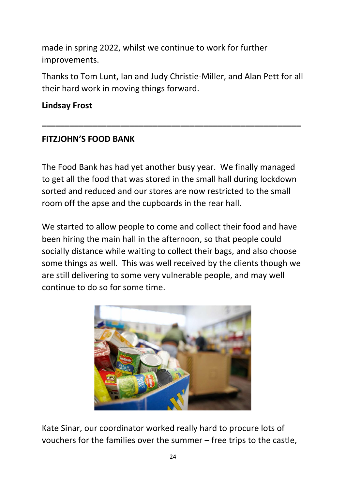made in spring 2022, whilst we continue to work for further improvements.

Thanks to Tom Lunt, Ian and Judy Christie-Miller, and Alan Pett for all their hard work in moving things forward.

**\_\_\_\_\_\_\_\_\_\_\_\_\_\_\_\_\_\_\_\_\_\_\_\_\_\_\_\_\_\_\_\_\_\_\_\_\_\_\_\_\_\_\_\_\_\_\_\_\_\_\_\_\_\_\_\_** 

#### **Lindsay Frost**

#### **FITZJOHN'S FOOD BANK**

The Food Bank has had yet another busy year. We finally managed to get all the food that was stored in the small hall during lockdown sorted and reduced and our stores are now restricted to the small room off the apse and the cupboards in the rear hall.

We started to allow people to come and collect their food and have been hiring the main hall in the afternoon, so that people could socially distance while waiting to collect their bags, and also choose some things as well. This was well received by the clients though we are still delivering to some very vulnerable people, and may well continue to do so for some time.



Kate Sinar, our coordinator worked really hard to procure lots of vouchers for the families over the summer – free trips to the castle,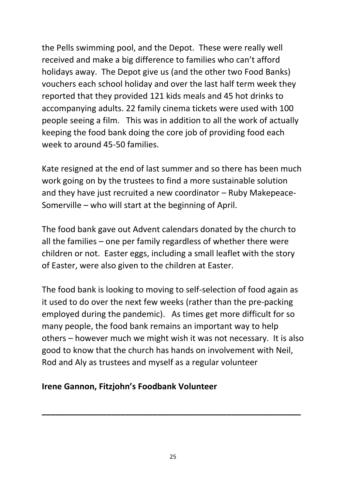the Pells swimming pool, and the Depot. These were really well received and make a big difference to families who can't afford holidays away. The Depot give us (and the other two Food Banks) vouchers each school holiday and over the last half term week they reported that they provided 121 kids meals and 45 hot drinks to accompanying adults. 22 family cinema tickets were used with 100 people seeing a film. This was in addition to all the work of actually keeping the food bank doing the core job of providing food each week to around 45-50 families.

Kate resigned at the end of last summer and so there has been much work going on by the trustees to find a more sustainable solution and they have just recruited a new coordinator – Ruby Makepeace-Somerville – who will start at the beginning of April.

The food bank gave out Advent calendars donated by the church to all the families – one per family regardless of whether there were children or not. Easter eggs, including a small leaflet with the story of Easter, were also given to the children at Easter.

The food bank is looking to moving to self-selection of food again as it used to do over the next few weeks (rather than the pre-packing employed during the pandemic). As times get more difficult for so many people, the food bank remains an important way to help others – however much we might wish it was not necessary. It is also good to know that the church has hands on involvement with Neil, Rod and Aly as trustees and myself as a regular volunteer

### **Irene Gannon, Fitzjohn's Foodbank Volunteer**

**\_\_\_\_\_\_\_\_\_\_\_\_\_\_\_\_\_\_\_\_\_\_\_\_\_\_\_\_\_\_\_\_\_\_\_\_\_\_\_\_\_\_\_\_\_\_\_\_\_\_\_\_\_\_\_\_**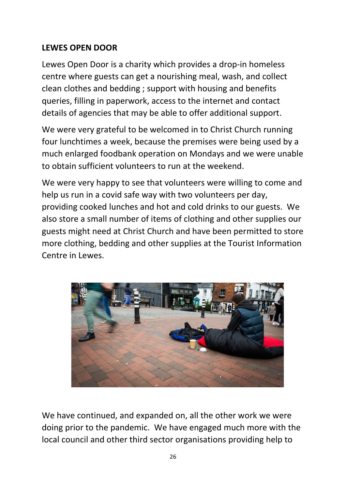### **LEWES OPEN DOOR**

Lewes Open Door is a charity which provides a drop-in homeless centre where guests can get a nourishing meal, wash, and collect clean clothes and bedding ; support with housing and benefits queries, filling in paperwork, access to the internet and contact details of agencies that may be able to offer additional support.

We were very grateful to be welcomed in to Christ Church running four lunchtimes a week, because the premises were being used by a much enlarged foodbank operation on Mondays and we were unable to obtain sufficient volunteers to run at the weekend.

We were very happy to see that volunteers were willing to come and help us run in a covid safe way with two volunteers per day, providing cooked lunches and hot and cold drinks to our guests. We also store a small number of items of clothing and other supplies our guests might need at Christ Church and have been permitted to store more clothing, bedding and other supplies at the Tourist Information Centre in Lewes.



We have continued, and expanded on, all the other work we were doing prior to the pandemic. We have engaged much more with the local council and other third sector organisations providing help to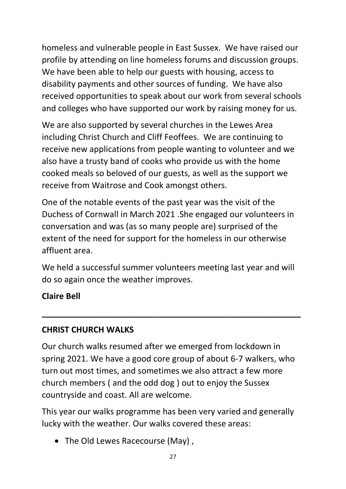homeless and vulnerable people in East Sussex. We have raised our profile by attending on line homeless forums and discussion groups. We have been able to help our guests with housing, access to disability payments and other sources of funding. We have also received opportunities to speak about our work from several schools and colleges who have supported our work by raising money for us.

We are also supported by several churches in the Lewes Area including Christ Church and Cliff Feoffees. We are continuing to receive new applications from people wanting to volunteer and we also have a trusty band of cooks who provide us with the home cooked meals so beloved of our guests, as well as the support we receive from Waitrose and Cook amongst others.

One of the notable events of the past year was the visit of the Duchess of Cornwall in March 2021 .She engaged our volunteers in conversation and was (as so many people are) surprised of the extent of the need for support for the homeless in our otherwise affluent area.

We held a successful summer volunteers meeting last year and will do so again once the weather improves.

**\_\_\_\_\_\_\_\_\_\_\_\_\_\_\_\_\_\_\_\_\_\_\_\_\_\_\_\_\_\_\_\_\_\_\_\_\_\_\_\_\_\_\_\_\_\_\_\_\_\_\_\_\_\_\_\_**

**Claire Bell** 

# **CHRIST CHURCH WALKS**

Our church walks resumed after we emerged from lockdown in spring 2021. We have a good core group of about 6-7 walkers, who turn out most times, and sometimes we also attract a few more church members ( and the odd dog ) out to enjoy the Sussex countryside and coast. All are welcome.

This year our walks programme has been very varied and generally lucky with the weather. Our walks covered these areas:

• The Old Lewes Racecourse (May),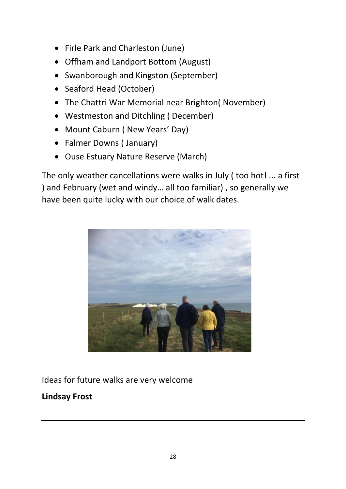- Firle Park and Charleston (June)
- Offham and Landport Bottom (August)
- Swanborough and Kingston (September)
- Seaford Head (October)
- The Chattri War Memorial near Brighton( November)
- Westmeston and Ditchling ( December)
- Mount Caburn ( New Years' Day)
- Falmer Downs ( January)
- Ouse Estuary Nature Reserve (March)

The only weather cancellations were walks in July ( too hot! ... a first ) and February (wet and windy… all too familiar) , so generally we have been quite lucky with our choice of walk dates.



Ideas for future walks are very welcome

# **Lindsay Frost**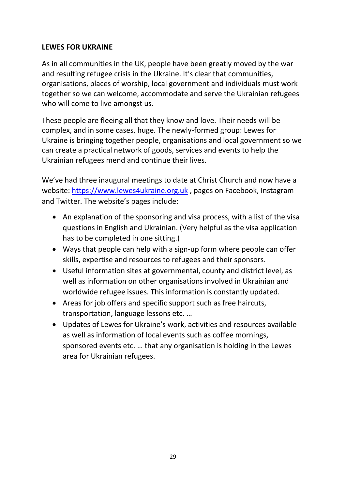#### **LEWES FOR UKRAINE**

As in all communities in the UK, people have been greatly moved by the war and resulting refugee crisis in the Ukraine. It's clear that communities, organisations, places of worship, local government and individuals must work together so we can welcome, accommodate and serve the Ukrainian refugees who will come to live amongst us.

These people are fleeing all that they know and love. Their needs will be complex, and in some cases, huge. The newly-formed group: Lewes for Ukraine is bringing together people, organisations and local government so we can create a practical network of goods, services and events to help the Ukrainian refugees mend and continue their lives.

We've had three inaugural meetings to date at Christ Church and now have a website: [https://www.lewes4ukraine.org.uk](https://www.lewes4ukraine.org.uk/) , pages on Facebook, Instagram and Twitter. The website's pages include:

- An explanation of the sponsoring and visa process, with a list of the visa questions in English and Ukrainian. (Very helpful as the visa application has to be completed in one sitting.)
- Ways that people can help with a sign-up form where people can offer skills, expertise and resources to refugees and their sponsors.
- Useful information sites at governmental, county and district level, as well as information on other organisations involved in Ukrainian and worldwide refugee issues. This information is constantly updated.
- Areas for job offers and specific support such as free haircuts, transportation, language lessons etc. …
- Updates of Lewes for Ukraine's work, activities and resources available as well as information of local events such as coffee mornings, sponsored events etc. … that any organisation is holding in the Lewes area for Ukrainian refugees.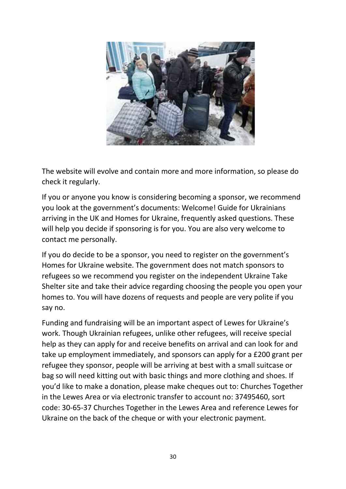

The website will evolve and contain more and more information, so please do check it regularly.

If you or anyone you know is considering becoming a sponsor, we recommend you look at the government's documents: Welcome! Guide for Ukrainians arriving in the UK and Homes for Ukraine, frequently asked questions. These will help you decide if sponsoring is for you. You are also very welcome to contact me personally.

If you do decide to be a sponsor, you need to register on the government's Homes for Ukraine website. The government does not match sponsors to refugees so we recommend you register on the independent Ukraine Take Shelter site and take their advice regarding choosing the people you open your homes to. You will have dozens of requests and people are very polite if you say no.

Funding and fundraising will be an important aspect of Lewes for Ukraine's work. Though Ukrainian refugees, unlike other refugees, will receive special help as they can apply for and receive benefits on arrival and can look for and take up employment immediately, and sponsors can apply for a £200 grant per refugee they sponsor, people will be arriving at best with a small suitcase or bag so will need kitting out with basic things and more clothing and shoes. If you'd like to make a donation, please make cheques out to: Churches Together in the Lewes Area or via electronic transfer to account no: 37495460, sort code: 30-65-37 Churches Together in the Lewes Area and reference Lewes for Ukraine on the back of the cheque or with your electronic payment.